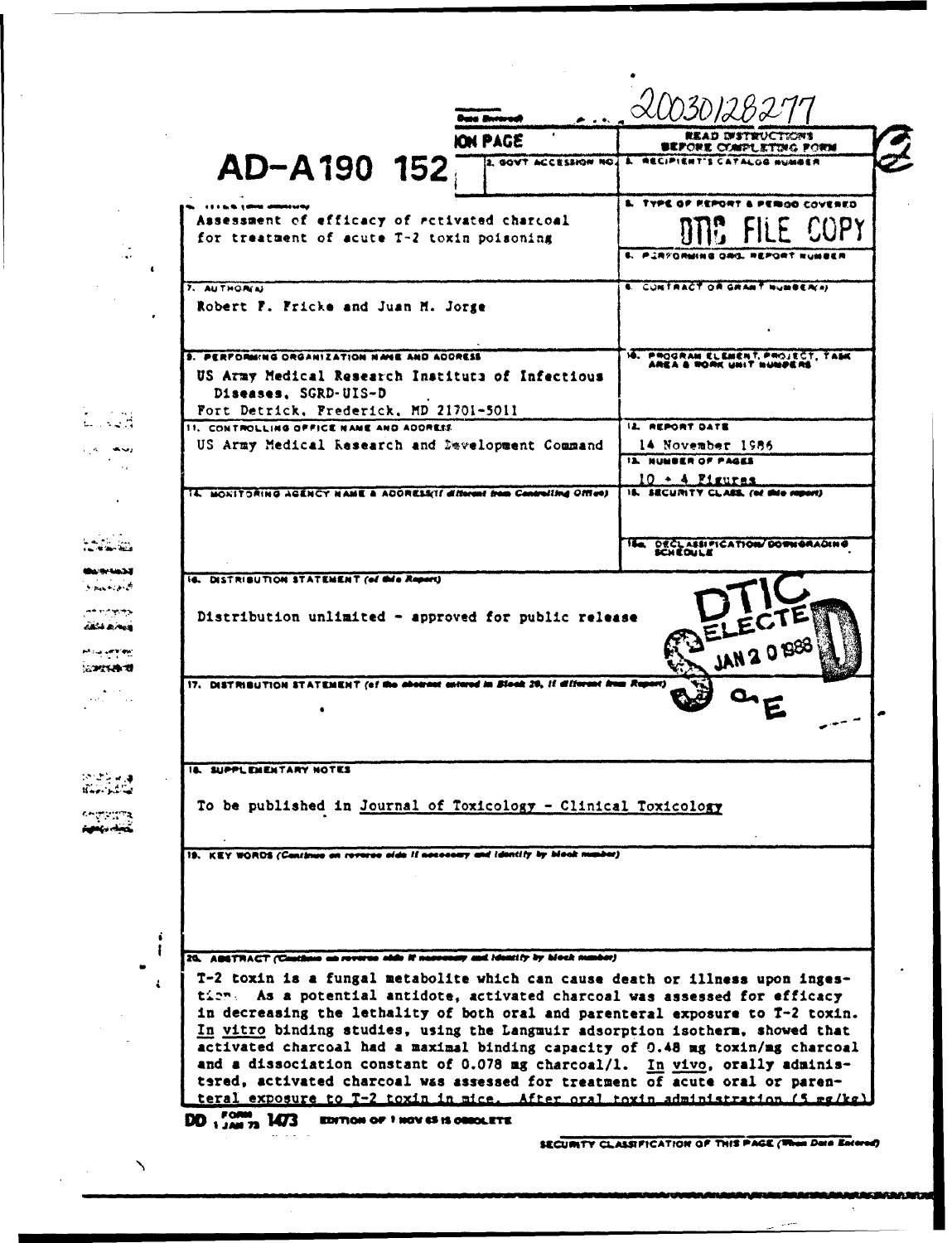|                                                                                            |                       | <b>READ DISTRUCTIONS</b>                       |
|--------------------------------------------------------------------------------------------|-----------------------|------------------------------------------------|
|                                                                                            | <b>ION PAGE</b>       | 参和アクを式 こくかげしまずかいこ アクセメ                         |
| AD-A190 152                                                                                | 2. GOVT ACCESSION NO. | <b>A. RECIPIENT'S CATALOG MUMBER</b>           |
|                                                                                            |                       | <b>S. TYPE OF REPORT &amp; PERIOD COVERED</b>  |
| Assessment of efficacy of activated charcoal<br>for treatment of acute T-2 toxin poisoning |                       | E FILE COPY                                    |
|                                                                                            |                       | 5. PJRYORMING ORG. REPORT NUMBER               |
| 7. AUTHORIN                                                                                |                       | <b>6. CONTRACT OR GRANT NUMBER(A)</b>          |
| Robert F. Fricke and Juan M. Jorge                                                         |                       |                                                |
| <b>3. PERFORMING ORGANIZATION NAME AND ACORESS</b>                                         |                       | 10. PROGRAM ELEMENT, PROJECT, TASK             |
| US Army Medical Research Institute of Infectious<br>Diseases, SGRD-UIS-D                   |                       | AREA & RORK UNIT NUMPERS                       |
| Fort Detrick, Frederick, MD 21701-5011                                                     |                       |                                                |
| 11. CONTROLLING OFFICE NAME AND ADDRESS                                                    |                       | <b>IL REPORT DATE</b>                          |
| US Army Medical Research and Development Command                                           |                       | 14 November 1986<br><b>IS. NUMBER OF PAGES</b> |
|                                                                                            |                       | $10 + 4$ Pigures                               |
| 14. MONITORING AGENCY HANE & ADDRESSIE different from Controlling Office)                  |                       | IS. SECURITY CLASS. (of this report)           |
|                                                                                            |                       | ISA DECLASSIFICATION/DOWNORADING<br>KCXEDULE   |
| Distribution unlimited - approved for public release                                       |                       | ELEC                                           |
| 17. DISTRIBUTION STATEMENT (of the abotrast entered in Block 20, If different from Report) |                       | JAN 2 0 BB                                     |
| <b>18. SUPPLEMENTARY NOTES</b>                                                             |                       |                                                |
| To be published in Journal of Toxicology - Clinical Toxicology                             |                       |                                                |
| 19. KEY WORDS (Continue on reverse side if necessary and identify by blook number)         |                       |                                                |
|                                                                                            |                       |                                                |
| 20. ABSTRACT (Castigne as reverse olds if necessary and identity by block number)          |                       |                                                |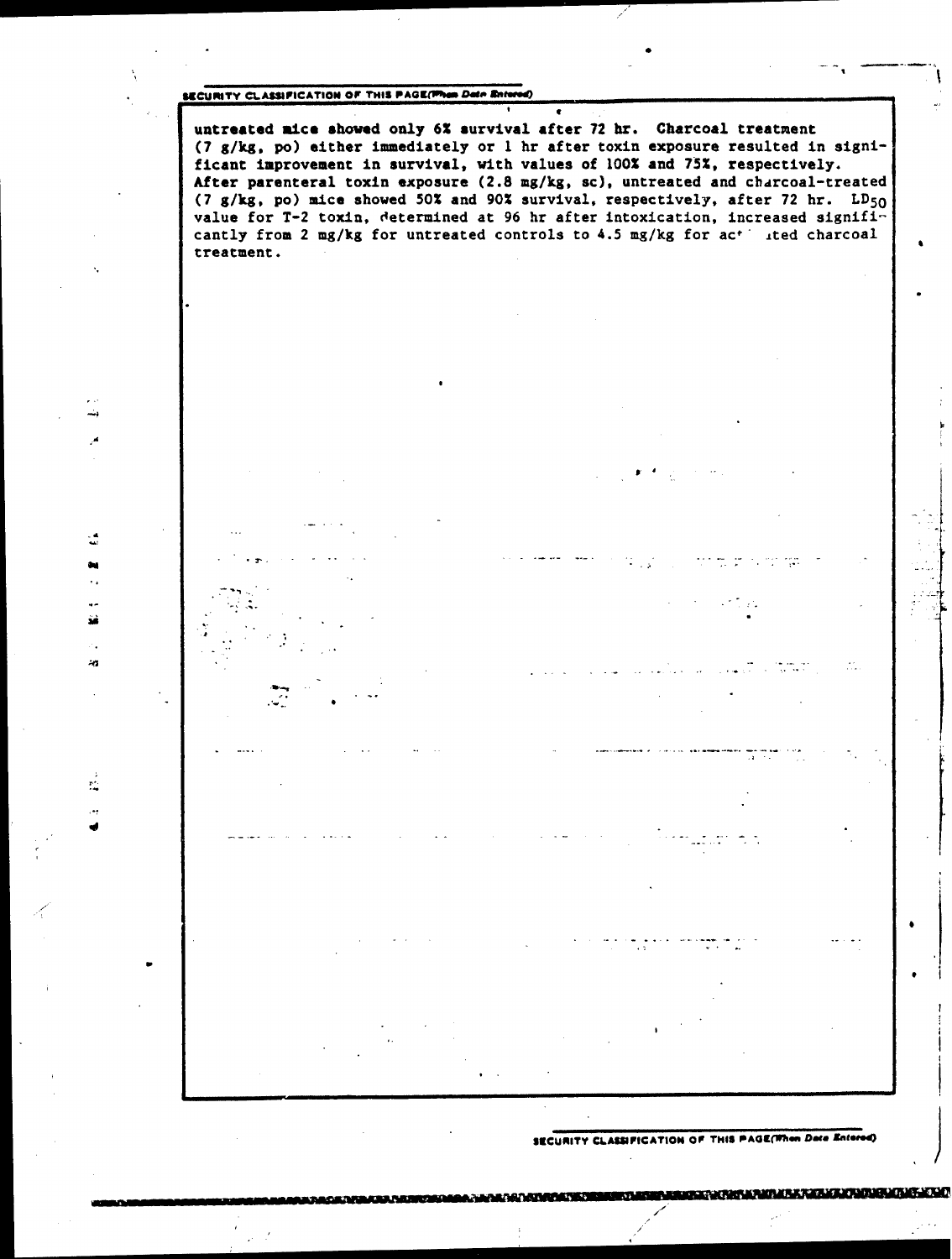# **6RCURITY CLASSIFICATION OF THIS PAGE(When Date Enter**

ه.<br>سا t. ÷.

зà

4.

ř. ٠.,

- ..

untreated mice shoved only **62** survival after 72 hr. Charcoal treatment (7 g/kg, po) either immediately or 1 hr after toxin exposure resulted in significant improvement in survival, with values of **100%** and 75%, respectively. After parenteral toxin exposure (2.8 mg/kg, sc), untreated and charcoal-treated (7 g/kg, po) mice showed **50%** and **90%** survival, respectively, after 72 hr. **LD50** value for T-2 toxin, determined at 96 hr after intoxication, increased significantly from 2 mg/kg for untreated controls to 4.5 mg/kg for ac<sup>t</sup> ited charcoal treatment.

 $\bullet$ 

**SECURITY CLASSIFICATION OF THIS PAGE(When Date Enters**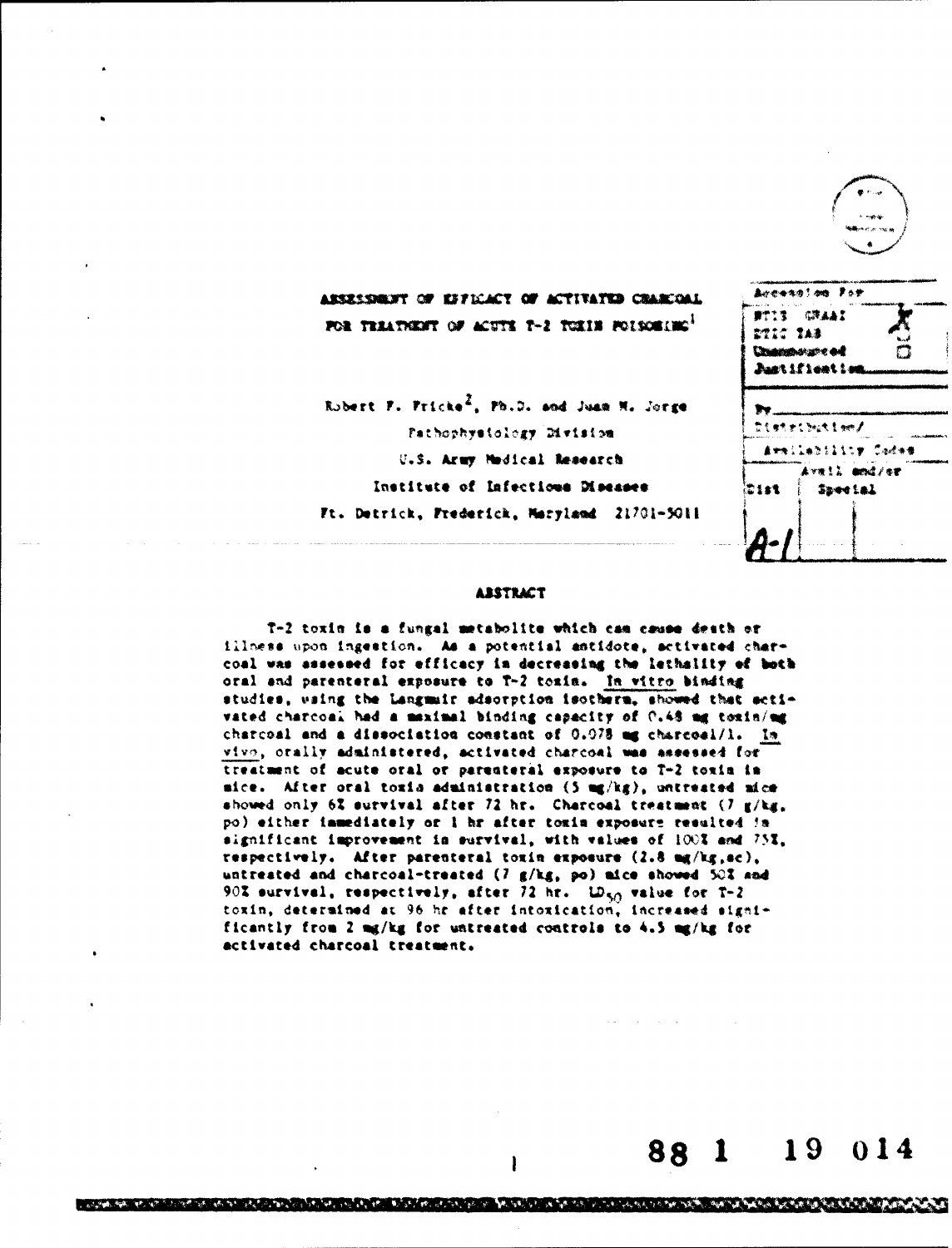

88

1

ዀዀዀጜዄዿዄዄዄ**ዄዸዀጟዄ፝ጟጟዄቘዄዄዄዄጜ**ቜዀቘጞቝዀዀጞዀዀዀዄቘዄቘዄቔዄ፝ዿቜዄ፝ጞ

014

19

### **ABSTRACT**

T-2 toxin is a fungal metabolite which cam cause death or illness upon ingestion. As a potential antidote, activated charcoal was assessed for efficacy in decreasing the lethality of both oral and parenteral exposure to T-2 toxin. In witro binding studies, waing the Langmuir adsorption isotherm, showed that activated charcoal had a maximal binding capacity of C.48 mg toxin/mg charcoal and a dissociation constant of 0.078 mg charcoal/1. In vivo, orally administered, activated charcoal was assessed for treatment of acute oral or parenteral exposure to T-2 toxin in mice. After oral toxia administration (5 mg/kg), untreated mice showed only 6% survival after 72 hr. Charcoal treatment (7 g/kg, po) either immediately or 1 hr after toxin exposure resulted in significant improvement in survival, with values of 100% and 75%, respectively. After parenteral toxin exposure (2.8 mg/kg, ac), untreated and charcoal-treated (7 g/kg, po) aice showed 50% and 90% survival, respectively, after 72 hr. LD<sub>50</sub> value for T-2 toxin, determined at 96 hr after intoxication, increased significantly from 2 mg/kg for untreated controls to 4.5 mg/kg for activated charcoal treatment.

I

ውስል የአንድ ነው። አውነት አይነዋል አለት አለት አለት አንድ አንድ አልቻል እንደ አይነት አይነት አይነት አይነት አይነት የአንድ አይነት አይነት አይነት አይነት አይነት አይ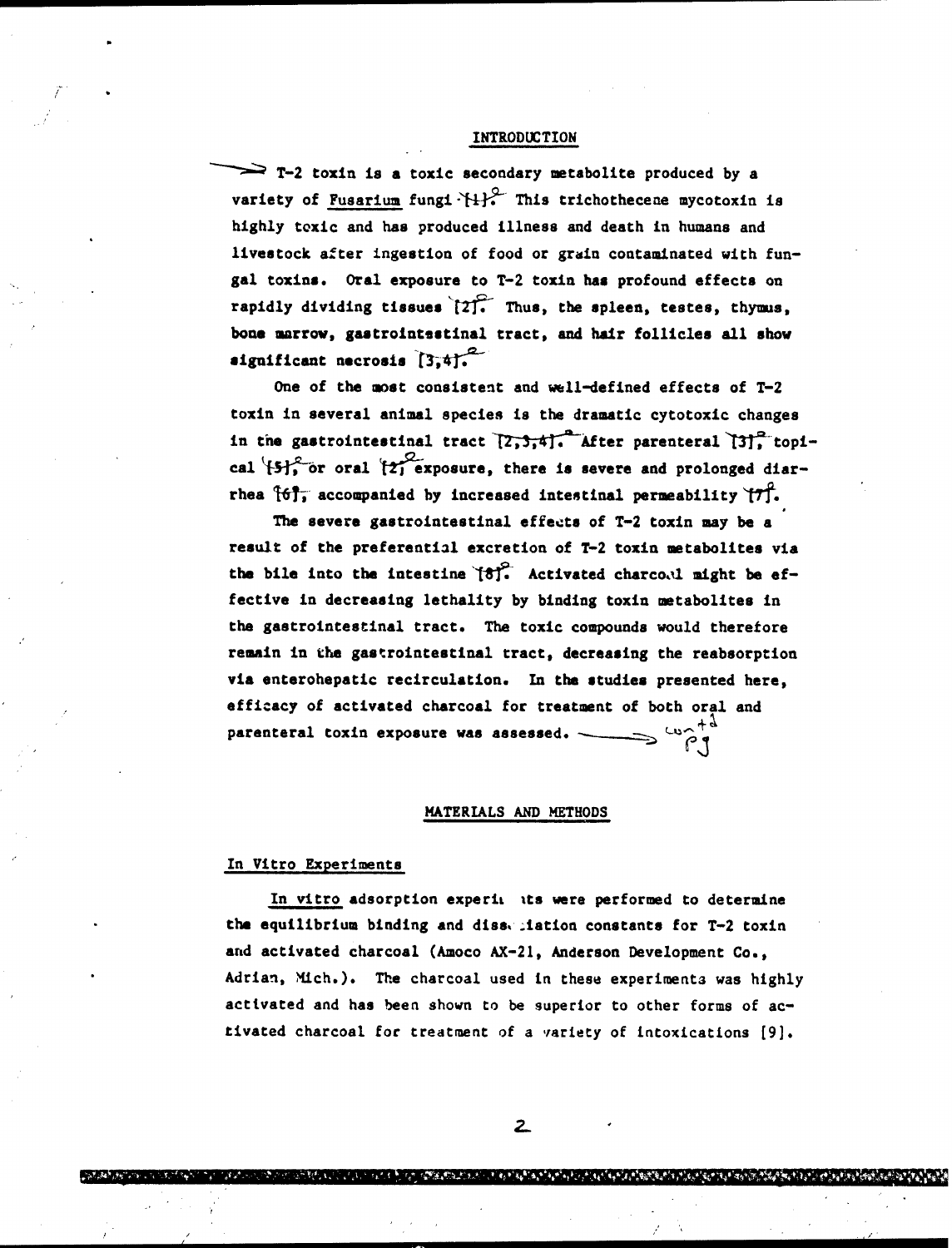### INTRODUCTION

 $\implies$  T-2 toxin is a toxic secondary metabolite produced by a variety of Fusarium fungi $\{+}\}$ . This trichothecene mycotoxin is highly toxic and has produced illness and death in humans and livestock after ingestion of food or grain contaminated with fungal toxins. Oral exposure to T-2 toxin has profound effects on rapidly dividing tissues  $[2]$ . Thus, the spleen, testes, thymus, bone marrow, gastrointestinal tract, and hair follicles all show significant necrosis  $[3,4].<sup>2</sup>$ 

One of the most consistent and well-defined effects of T-2 toxin in several animal species is the dramatic cytotoxic changes in the gastrointestinal tract  $\overline{[2,3,4]}$ . After parenteral  $\overline{[3]}$  topical **ISI**<sup>C</sup> or oral  $2$  exposure, there is severe and prolonged diarrhea  $\{6\}$ , accompanied by increased intestinal permeability  $\{7\}$ .

The severe gastrointestinal effects of T-2 toxin may be a result of the preferential excretion of T-2 toxin metabolites via the bile into the intestine  $\mathfrak{g}^{\circ}$ . Activated charco.il might be effective in decreasing lethality by binding toxin metabolites in the gastrointestinal tract. The toxic compounds would therefore remain in the gastrointestinal tract, decreasing the reabsorption via enterohepatic recirculation. In the studies presented here, efficacy of activated charcoal for treatment of both oral and parenteral toxin exposure was assessed.  $\longrightarrow$   $\overset{\text{tw}}{\curvearrowright}$ <sup>+3</sup>

### MATERIALS AND METHODS

### In Vitro Experiments

In vitro adsorption experii its were performed to determine the equilibrium binding and diss, iation constants for T-2 toxin and activated charcoal (Amoco AX-21, Anderson Development Co., Adrian, Mich.). The charcoal used in these experiments was highly activated and has been shown to be superior to other forms of activated charcoal for treatment of a variety of intoxications [9].

 $\overline{z}$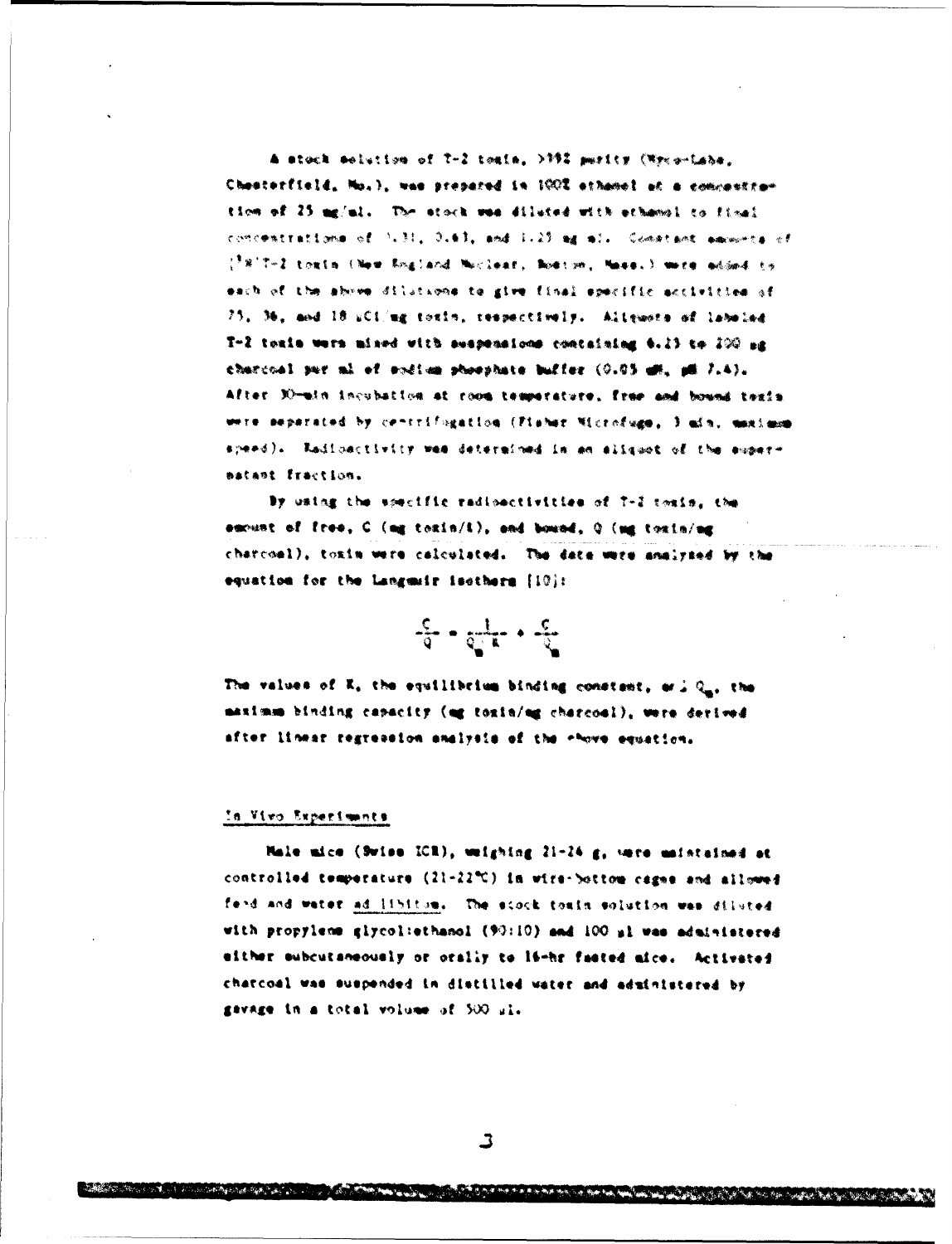A stock solution of 7-2 tesis. >992 parity (Wreg-Labs. Chesterfield, Mo.), was prepared in 1002 ethanel at a commenter tion of 25 mg/ml. The stock was diluted with athenel to fixel concentrations of 1.31, 0.63, and 1.25 mg ml. Constant amounts of (<sup>3</sup>8)T-2 touth (New Shaland Nuclear, Noston, Nass.) were added to each of the above dilutions to give final specific activities of 75, 36, and 18 uClimg toxin, respectively. Allewate of labeled T-2 touin were mixed with suspensions containing 6.23 to 200 ag charcoal sur al of soften shoophate buffer (0.05 em. pm 7.4). After Elmain incubation at room temperature, free and bound texis were separated by centrifingation (Fisher Microfuge, ) als. manimum speed). Radiosctivity wes determined in an aligadt of the engereatent fraction.

By using the specific radioactivities of 7-2 toxis, the suchast of free, C (mg texin/i), and bound, Q (mg toxin/mg charcoal), toxin were calculated. The date were analyzed by the equation for the Languair isothern [10]:

$$
\hat{\sigma} \cdot \frac{1}{\sqrt{2}} \sigma \cdot \hat{\tau}
$$

The values of K, the equilibrium binding constant, as J Q., the maximm binding capacity (og toxin/og charcoal), were derived after linear regression analysis of the chove equation.

## In Vivo Experiments

**CONSTRACTOR** 

Male mice (Swiss ICR), weighing 21-24 g, vere maintained at controlled temperature (21-22°C) in wire-bottom cagna and allowed fend and water ad libitum. The stock touin enlution was diluted with propylene glycoliethanol (90:10) and 100 al was administered either subcutaneously or orally to limbr fasted mice. Activated charcoal was suspended in distilled water and administered by gavage in a total volume of 500 pl.

and the same special part of the state of the same of the state of the state of the state of the state of the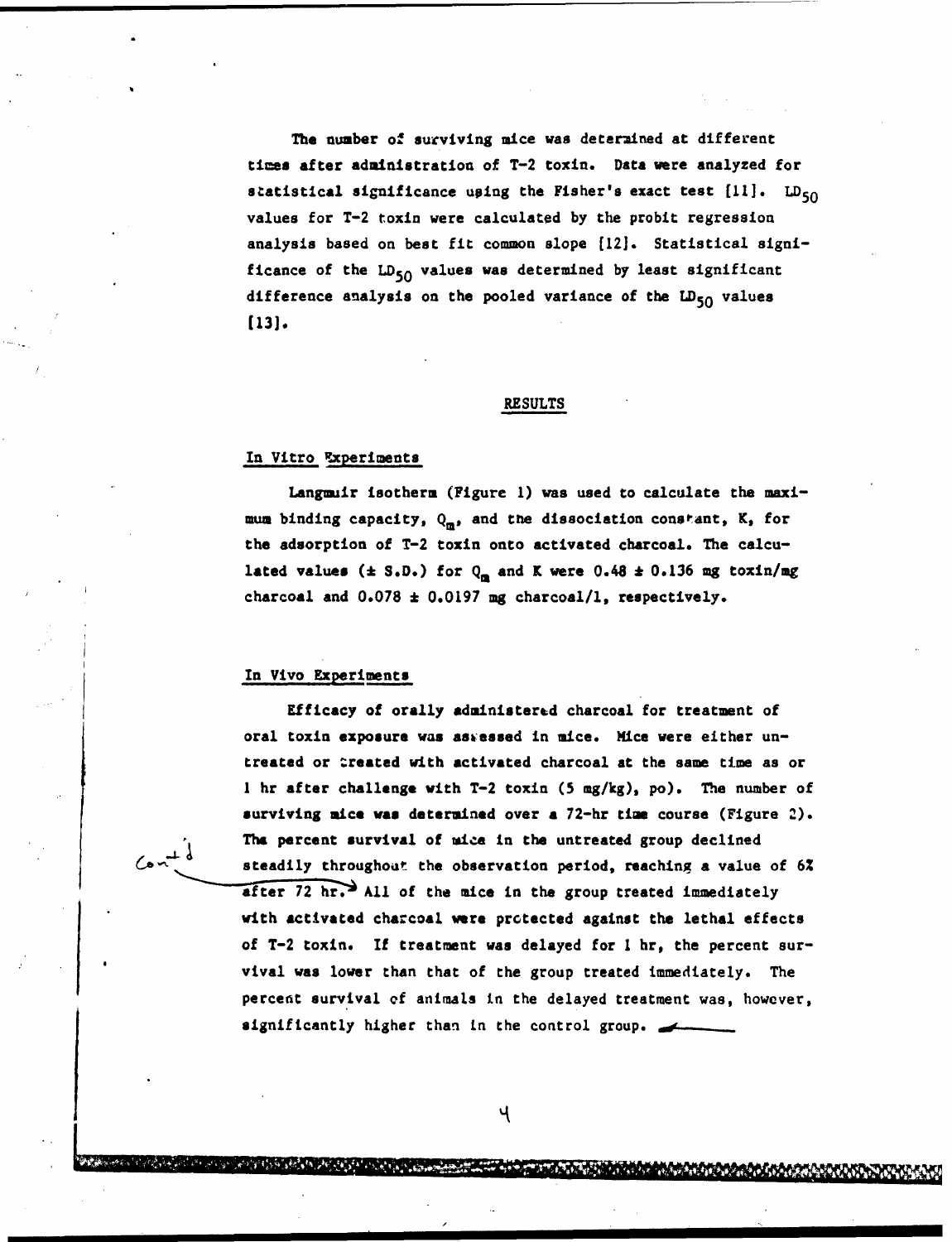The number of surviving mice was determined at different times after administration of T-2 toxin. Data were analyzed for statistical significance using the Fisher's exact test  $[11]$ .  $LD_{50}$ values for T-2 toxin were calculated by the probit regression analysis based on best fit common slope [121. Statistical significance of the  $LD_{50}$  values was determined by least significant difference analysis on the pooled variance of the  $LD_{50}$  values **[13).**

### RESULTS

## In Vitro Experiments

Langmuir isotherm (Figure **1)** was used to calculate the maximum binding capacity,  $Q_m$ , and the dissociation constant, K, for the adsorption of T-2 toxin onto activated charcoal. The calculated values  $(\pm S.D.)$  for  $Q_m$  and K were 0.48  $\pm$  0.136 mg toxin/mg charcoal and 0.078 **\*** 0.0197 mg charcoal/i, respectively.

## In Vivo Experiments

•MM-IIr.XUA-

Efficacy of orally administered charcoal for treatment of oral toxin exposure was asiessed in mice. Mice were either untreated or treated with activated charcoal at the same time as or **<sup>1</sup>**hr after challenge with T-2 toxin (5 mg/kg), po). The number of surviving mice was determined over a 72-hr time course (Figure 2). The percent survival of mice in the untreated group declined steadily throughout the observation period, reaching a value of **6%**  $a$ fter 72 hr. All of the mice in the group treated immediately with activated charcoal were prctected against the lethal effects of T-2 toxin. If treatment was delayed for **I** hr, the percent survival was lower than that of the group treated immediately. The percent survival of animals in the delayed treatment was, however, significantly higher than in the control group.

Ч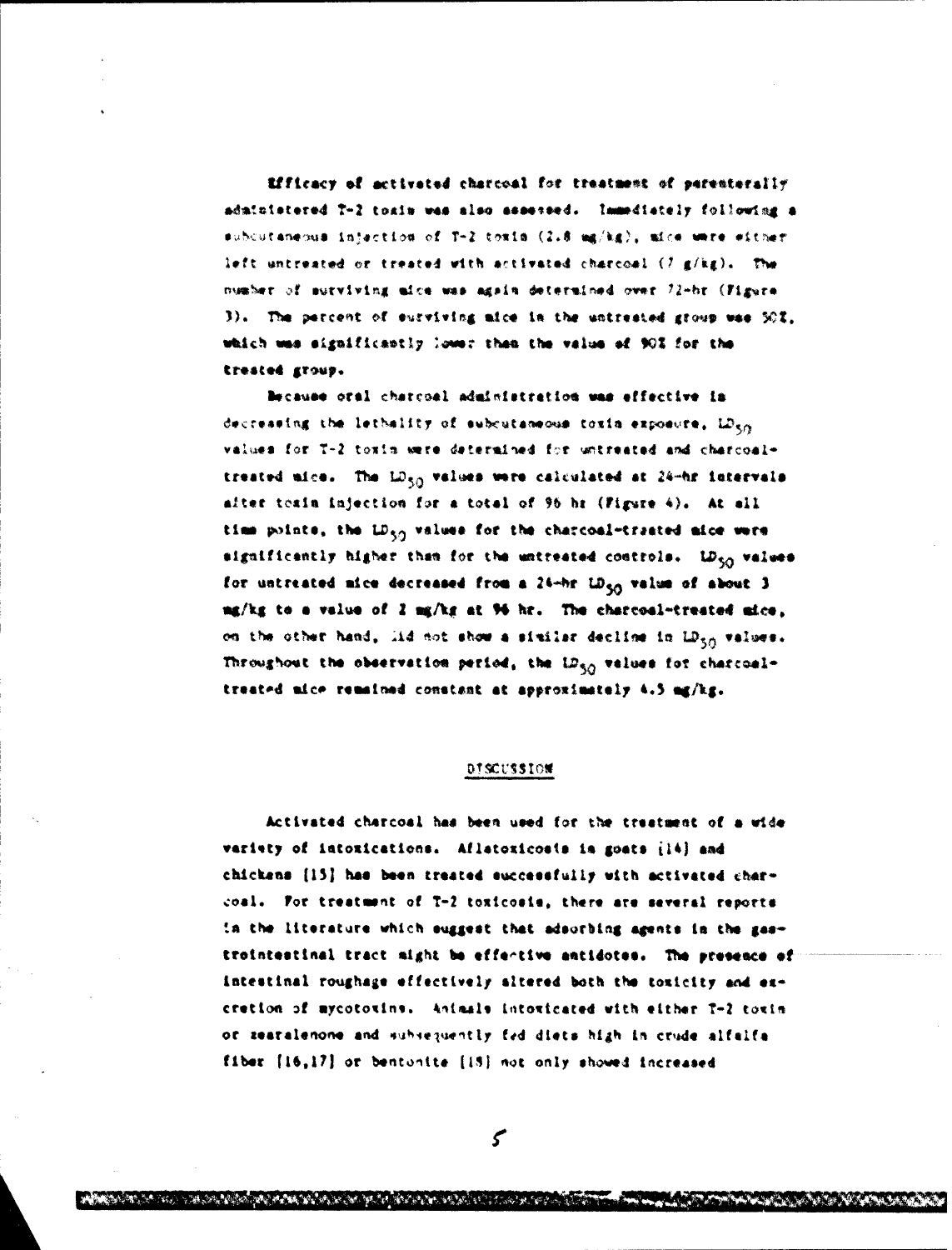Efficacy of activated charcoal for treatment of perenterally administered 7-2 toxin was also assessed. Immediately following a subcutaneous injection of T-2 toxin (2.8 mg/kg), mice were either left untreated or treated with activated charcoal (7 g/kg). The number of surviving aice was again determined over 72-br (Figure 3). The percent of surviving mice in the untrested group was 50%, which was significantly lower than the value of 90% for the trested group.

Because oral charcoal administration was effective in decreasing the lethality of subcutaneous toxin exposure,  $D_{5,0}$ values for T-2 toxin were determined for untreated and charcoaltreated aice. The LD<sub>50</sub> values were calculated at 24-hr intervals after texin injection for a total of 96 hr (Figure 4). At all time points, the LD<sub>an</sub> values for the charcoal-trasted aice were significantly higher than for the untreated controls. LD<sub>50</sub> values for untreated mice decreased from a 24-hr LD<sub>50</sub> value of about 3 ng/kg to a value of 2 mg/kg at 96 hr. The charcoal-treated aice, on the other hand, lid not show a similar decline in LD<sub>50</sub> values. Throughout the observation period, the iD<sub>50</sub> values for charcoaltreated mice remained constant at approximately 4.5 mg/kg.

## DISCUSSION

Activated charcoal has been used for the treatment of a wide variety of intoxications. Aflatoxicosis is goats (14) and chickens [15] has been treated successfully with activated charcoal. For treatment of T-2 toxicosie, there are several reports in the literature which suggest that adsorbing agents in the gastrointestinal tract sight be effective antidotes. The presence of intestinal roughage effectively altered both the toxicity and excretion of mycotoxins. Animals intoxicated with either T-2 toxin or zearalenone and subsequently fed diets high in crude alfalfa fiber [16,17] or bentonite [15] not only showed increased

 $\mathcal{S}$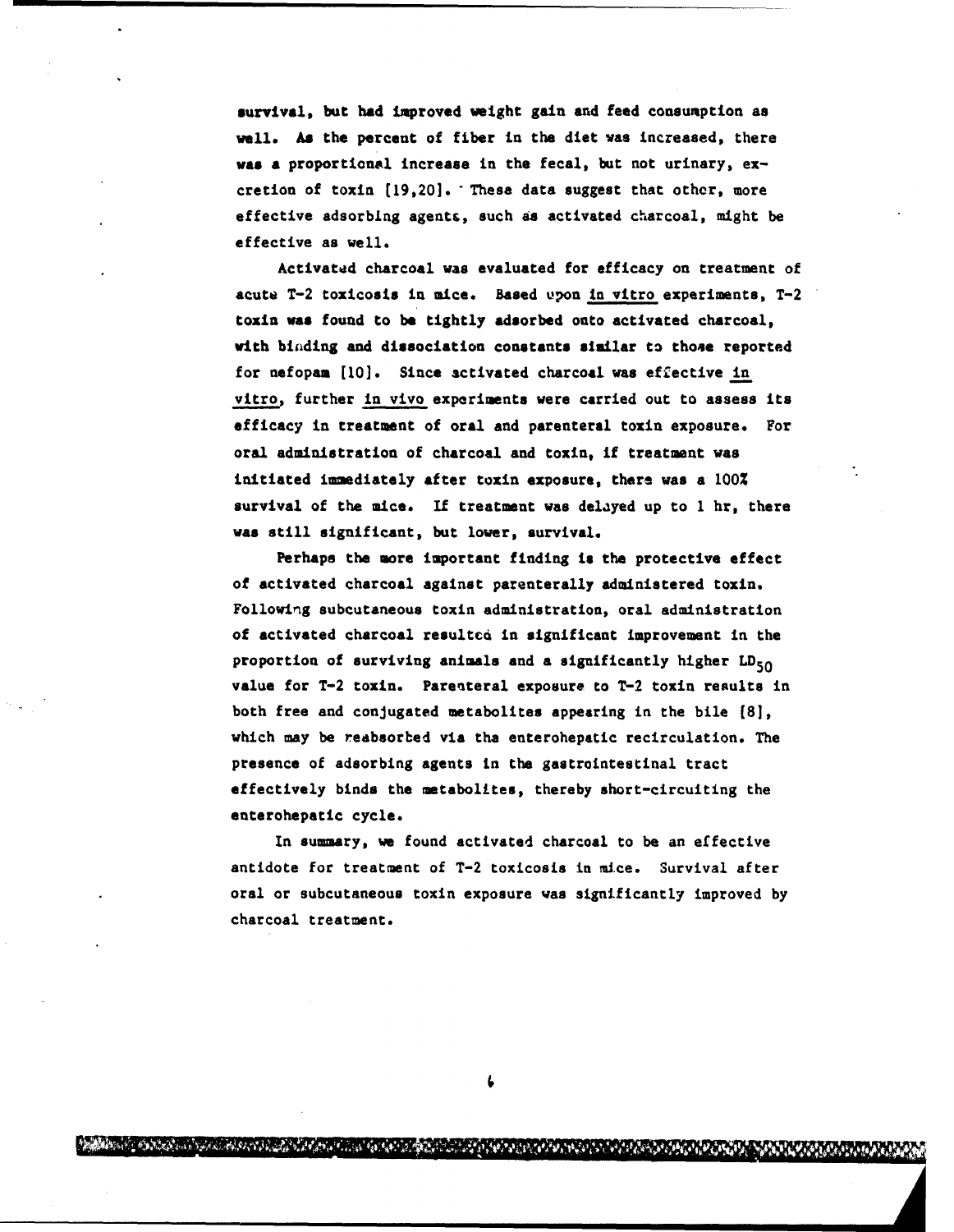survival, but had improved weight gain and feed consumption as well. **As** the percent of fiber in the diet was increased, there *was* **a** proportional increase in the fecal, but not urinary, excretion of toxin (19,20]. "These data suggest that other, more effective adsorbing agent&, such as activated charcoal, might be effective as well.

Activated charcoal was evaluated for efficacy on treatment of acute T-2 toxicosis in mice. Based upon in vitro experiments, T-2 toxin was found to **be** tightly adsorbed onto activated charcoal, with binding and dissociation constants similar to those reported for nefopam [10]. Since activated charcoal was effective in vitro, further in vivo experiments were carried out to assess its efficacy in treatment of oral and parenteral toxin exposure. For oral administration of charcoal and toxin, if treatment was initiated immediately after toxin exposure, there was a 100% survival of the mice. **If** treatment was delayed up to 1 hr, there was still significant, but lower, survival.

Perhaps the more important finding is the protective effect of activated charcoal against parenterally administered toxin. Following subcutaneous toxin administration, oral administration of activated charcoal resultcd in significant improvement in the proportion of surviving animals and a significantly higher  $LD_{50}$ value for T-2 toxin. Parenteral exposure to T-2 toxin results in both free and conjugated metabolites appearing in the bile **(81,** which may be reabsorbed via the enterohepatic recirculation. The presence of adsorbing agents in the gastrointestinal tract effectively binds the metabolites, thereby short-circuiting the enterohepatic cycle.

In summary, we found activated charcoal to be an effective antidote for treatment of T-2 toxicosis in mice. Survival after oral or subcutaneous toxin exposure was significantly improved by charcoal treatment.

A RASA A CONTRA CON CONTRACTO DE LA CONTRACTA DE CONTRACTO DE LA CONTRACTO

*CONTACTMENT AND*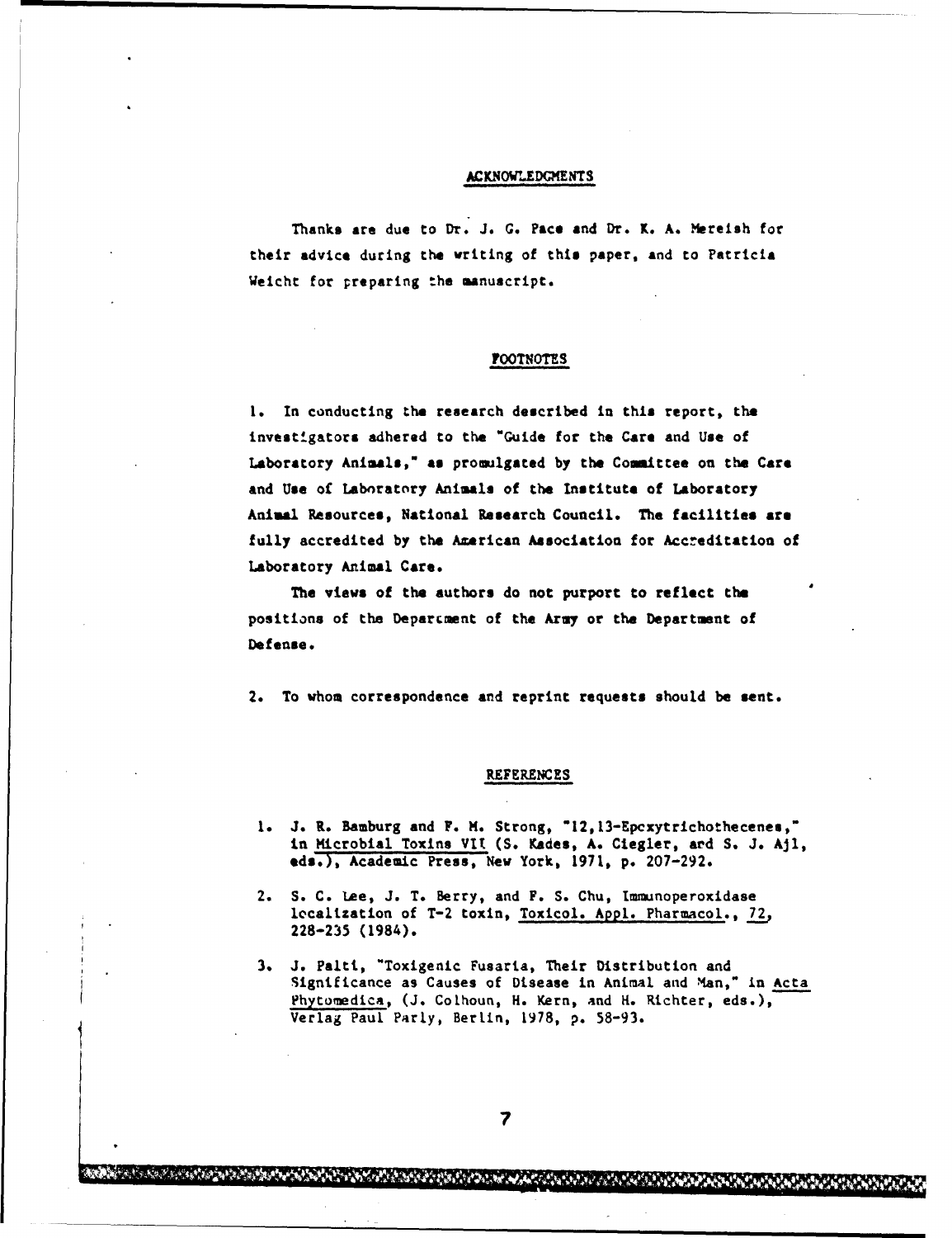### **ACKNOWLEDGMENTS**

Thanks are due to Dr. J. **G.** Pace and Dr. K. A. Mereish for their advice during the writing of this paper, and to Patricia Weicht for preparing the manuscript.

### **FOOTNOTES**

**1.** In conducting the research described in **this** report, the investigators adhered to the "Guide for the Care and Use of Laboratory Animals," **as** promulgated by the Coamittee on the Care and Use of Laboratory Animals of the Institute of Laboratory Animal Resources, National Research Council. The facilities are fully accredited by the Azerican Association for Accreditation of Laboratory Animal Care.

The views of the authors do not purport to reflect the positions of the Deparcment of the Army or the Department of Defense.

2. To whom correspondence and reprint requests should be sent.

#### REFERENCES

- 1. J. R. Bamburg and F. M. Strong, "12,13-Epcxytrichothecenes," in Microbial Toxins VIt (S. Kades, A. Ciegler, **and** S. J. **AJl, eds.),** Academic Press, New York, 1971, p. 207-292.
- 2. S. C. Lee, **J.** T. Berry, and F. S. Chu, Immunoperoxidase localization of T-2 toxin, Toxicol. Appl. Pharmacol., **72,** 228-235 (1984).
- 3. **J.** Palti, "Toxigenic Fusaria, Their Distribution and Significance as Causes of Disease in Animal and Man," in Acta Phytomedica, (J. Colhoun, H. Kern, and **H.** Richter, eds.), Verlag Paul Parly, BerLin, 1978, p. 58-93.

MAN TANAH KANAN YANG KALENDARYA YANG KANAN MANGALAHAN KANAN YANG KANAN MANGALAHAN KANAN MANGALAHAN KANAN MANG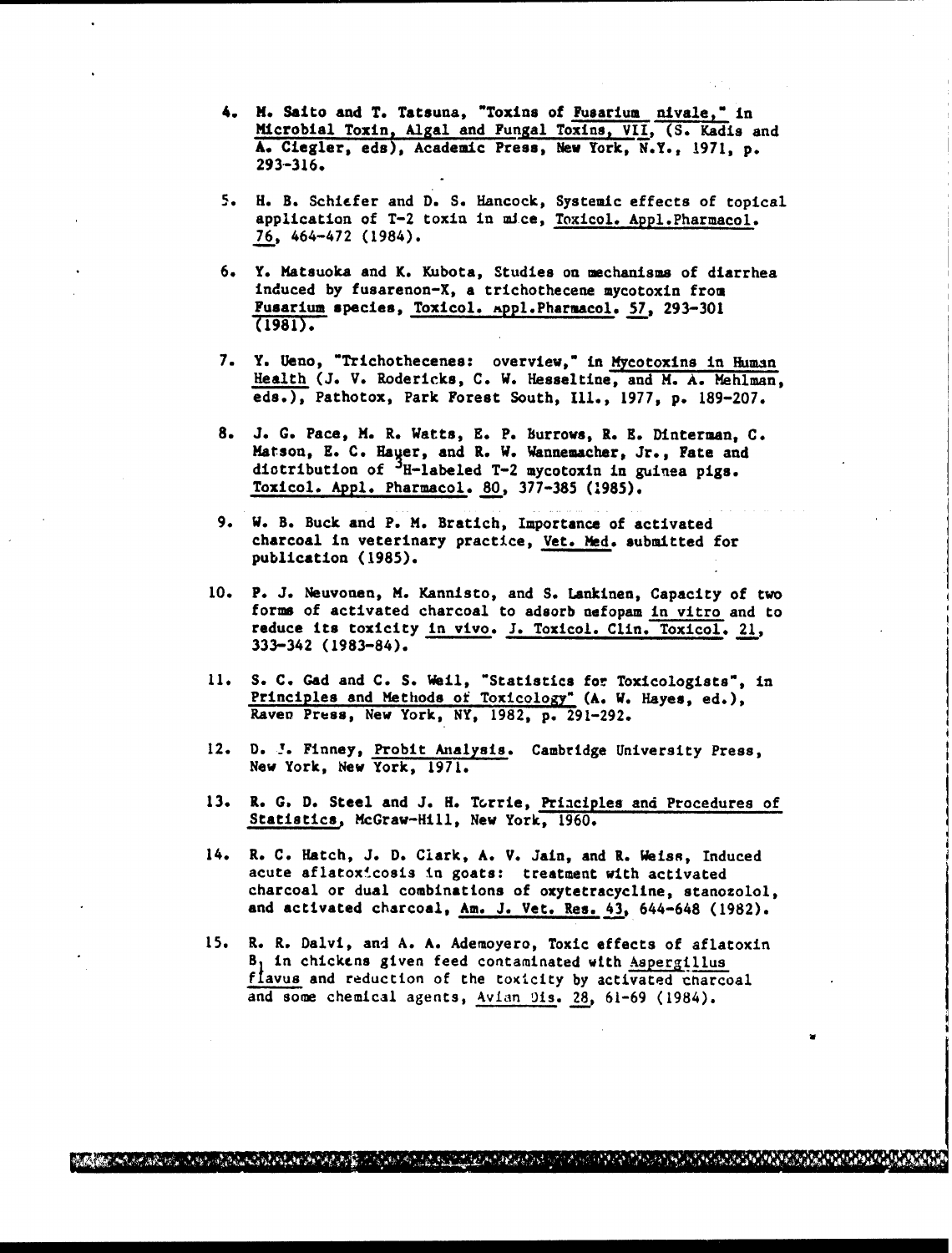- 4. **M.** Saito and T. Tatsuna, "Toxins of Fusarium nivale," in Microbial Toxin, Algal and Fungal Toxins, VII, (S. Kadis and **A.** Ciegler, eds), Academic Press, New York, N.Y., **1971,** p. 293-316.
- 5. H. B. Schiefer and D. S. Hancock, Systemic effects of topical application of T-2 toxin in mice, Toxicol. Appl.Pharmacol. 7.6, 464-472 (1984).
- 6. Y. Matsuoka and K. Kubota, Studies on mechanisms of diarrhea induced by fusarenon-X, a trichothecene mycotoxin from Fusarium species, Toxicol. %ppl.Pharmacol. 57, 293-301 (1981).
- 7. Y. Ueno, "Trichothecenes: overview," in Mycotoxins in Human Health (J. V. Rodericks, C. W. Hesseltine, and M. A. Hehlman, eds.), Pathotox, Park Forest South, **Ill.,** 1977, p. 189-207.
- 8. J. G. Pace, M. R. Watts, E. P. Burrows, R. **E.** Dinterman, C. Matson, E. C. Hayer, and R. W. Wannemacher, Jr., Fate and diotribution of <sup>J</sup>H-labeled T-2 mycotoxin in guinea pigs. Toxicol. Appl. Pharmacol. 80, 377-385 **(1985).**
- 9. W. B. Buck and P. M. Bratich, Importance of activated charcoal in veterinary practice, Vet. **Ned.** submitted for publication (1985).
- 10. P. **J.** Neuvonen, M. Kannisto, and S. Lankinen, Capacity of two forms of activated charcoal to adsorb nefopam in vitro and to reduce its toxicity in vivo. J. Toxicol. Clin. Toxicol. 21, 333-342 (1983-84).
- 11. S. C. Gad and C. S. Weil, "Statistics for Toxicologists", in Principles and Methods of Toxicology" (A. W. Hayes, ed.), Raven Press, New York, NY, 1982, p. 291-292.
- 12. D. **!.** Finney, Probit Analysis. Cambridge University Press, New York, New York, 1971.
- 13. R. G. D. Steel and J. H. Torrie, Priaciples and Procedures of Statistics, McGraw-Hill, New York, 1960.
- 14. R. C. Hatch, **J.** D. Clark, A. V. Jain, and R. Weiss, Induced acute aflatoxicosis in goats: treatment with activated charcoal or dual combinations of oxytetracycline, stanozolol, and activated charcoal, Am. J. Vet. Res. 43, 644-648 (1982).
- 15. R. R. Dalvi, and A. A. Ademoyero, Toxic effects of aflatoxin B, in chickens given feed contaminated with Aspergillus flavus and reduction of the toxicity by activated charcoal and some chemical agents, Avian 9is. **28.,** 61-69 (1984).

**A. Alan Andrea Contraduction (Andrea Contraduction Andrea Contraduction Andrea Contraduction Andre**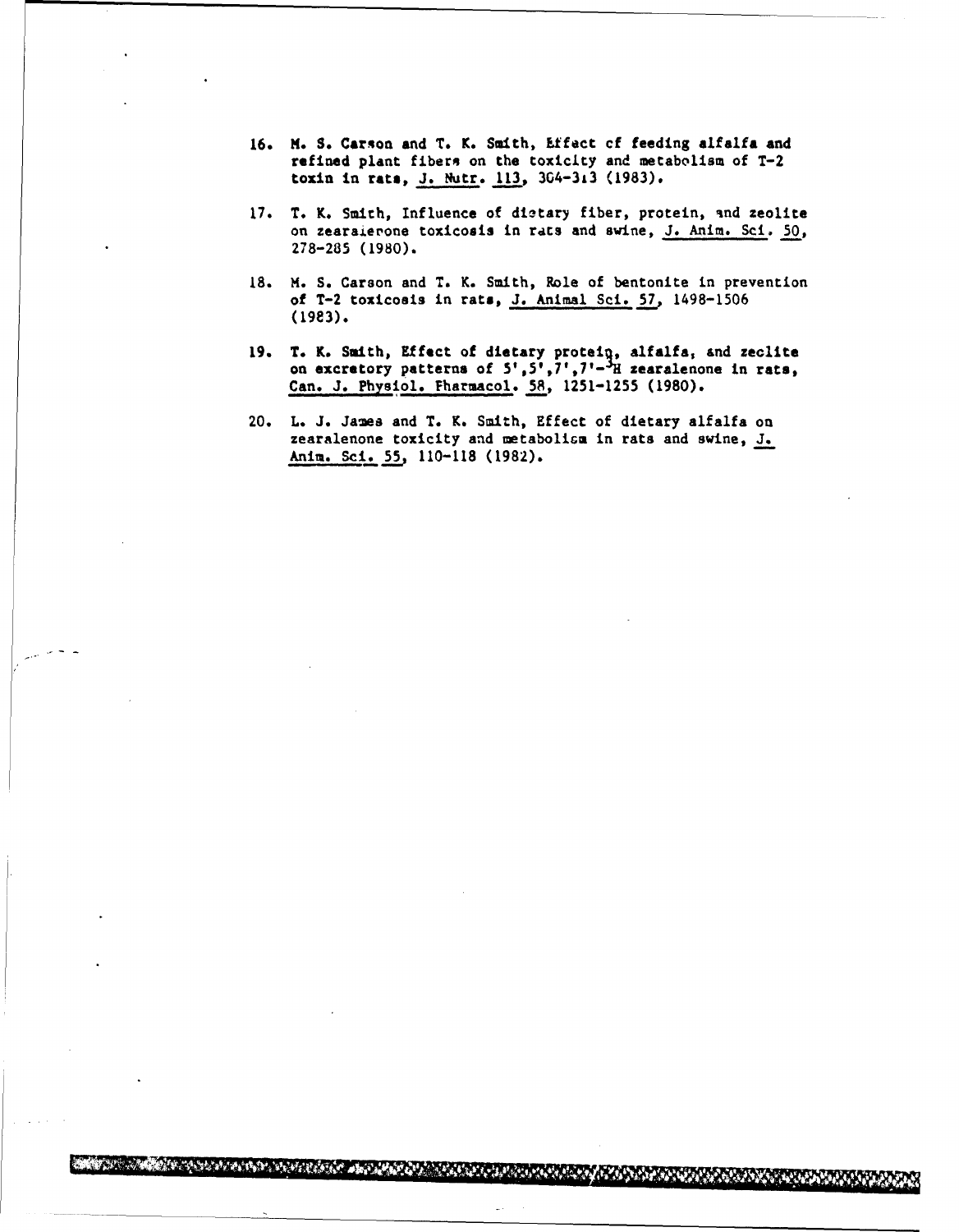- 16. M. **S.** Carson and T. K. Smith, Ltfect cf feeding **alfalfa** and refined plant fibers on the toxicity and metabolism of T-2 toxin in rats, J. Nutr. 113, 304-313 (1983).
- 17. T. K. Smith, Influence of dietary fiber, protein, and zeolite on zearaierone toxicosis in rats and swine, J. Anim. Sci. 50, 278-285 (1980).
- 18. **M.** S. Carson and T. K. Smith, Role of bentonite in prevention of T-2 toxicosis in rats, J. Animal Sci. 57, 1498-1506 (19e3).
- 19. T. K. Smith, Effect of dietary protein, alfalfa, and zeclite on excretory patterns of  $5', 5', 7', 7' - H$  zearalenone in rats, Can. **J.** Physiol. Fharmacol. 58, 1251-1255 (1980).
- 20. L. J. James and T. K. Smith, Effect of dietary alfalfa on zearalenone toxicity and metabolism in rats and swine, J. Anim. Sci. 55. 110-118 (1982).

<u> Ezimben oppgronder om de gronder</u>

**A REAL MANUAL PROPERTY** 

**MARK TANLE**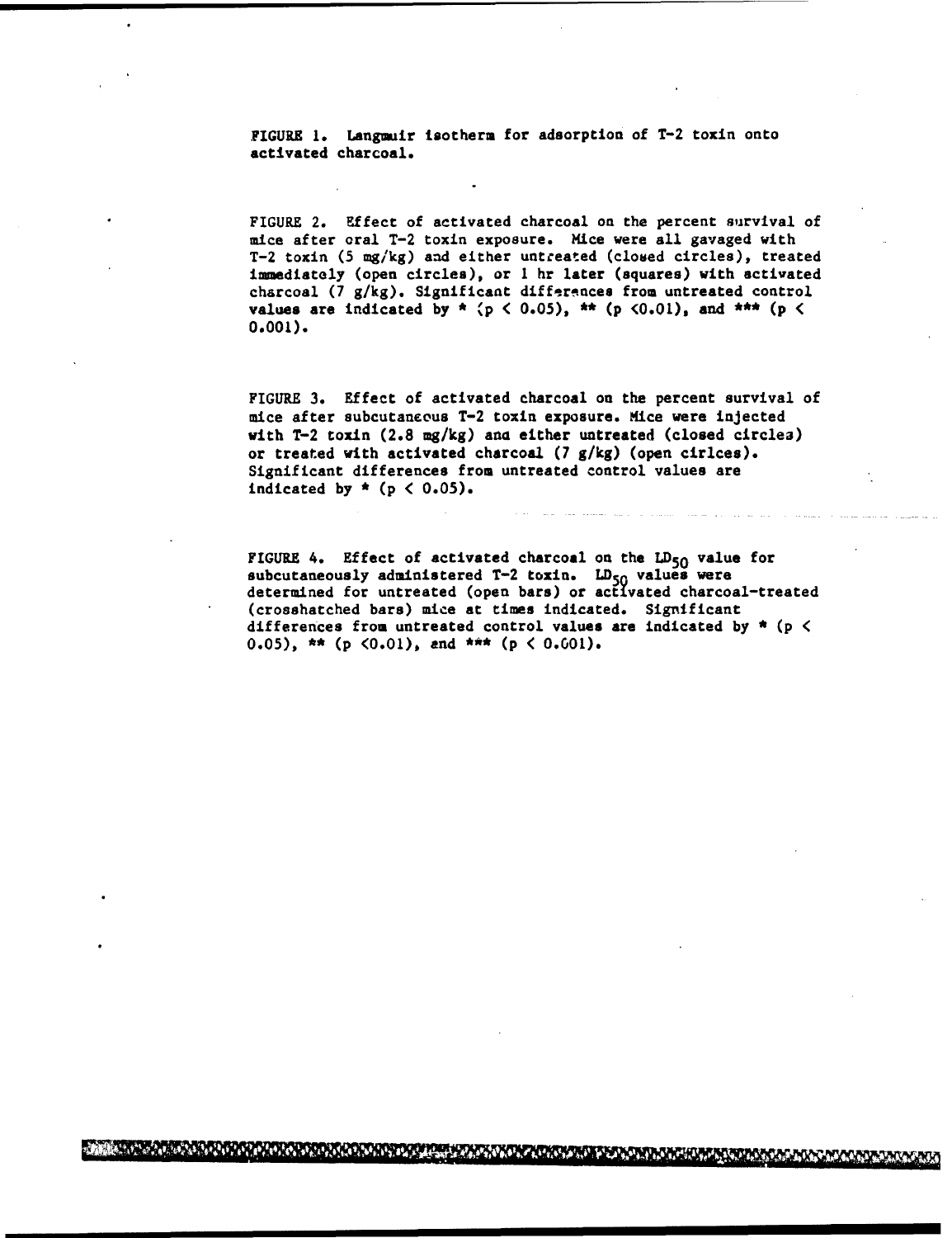FIGURE 1. Langmuir isotherm for adsorption of T-2 toxin onto activated charcoal.

FIGURE 2. Effect of activated charcoal on the percent survival of mice after oral T-2 toxin exposure. Mice were all gavaged with T-2 toxin (5 mg/kg) and either untreated (closed circles), treated immediately (open circles), or 1 hr later (squares) with activated charcoal (7 g/kg). Significant differences from untreated control values are indicated by  $*$   $(p < 0.05)$ ,  $**$   $(p < 0.01)$ , and  $***$   $(p <$ **0.001).**

FIGURE 3. Effect of activated charcoal on the percent survival of mice after subcutaneous T-2 toxin exposure. Mice were injected with T-2 toxin (2.8 mg/kg) ana either untreated (closed circlea) or treated with activated charcoal (7 g/kg) (open cirlces). Significant differences from untreated control values are indicated by  $*$  ( $p < 0.05$ ).

FIGURE 4. Effect of activated charcoal on the  $LD_{50}$  value for subcutaneously administered  $T-2$  toxin.  $LD_{50}$  values were determined for untreated (open bars) or activated charcoal-treated (croashatched bars) mice at times indicated. Significant differences from untreated control values are indicated by  $*$  (p  $\lt$ 0.05),  $**$  (p  $(0.01)$ , and  $***$  (p  $(0.001)$ .

A PARTICULAR MARINA DE L'ARTICLE DE L'ARTICLE DE L'ARTICLE DE L'ARTICLE DE L'ARTICLE DE L'ARTICLE DE L'ARTICLE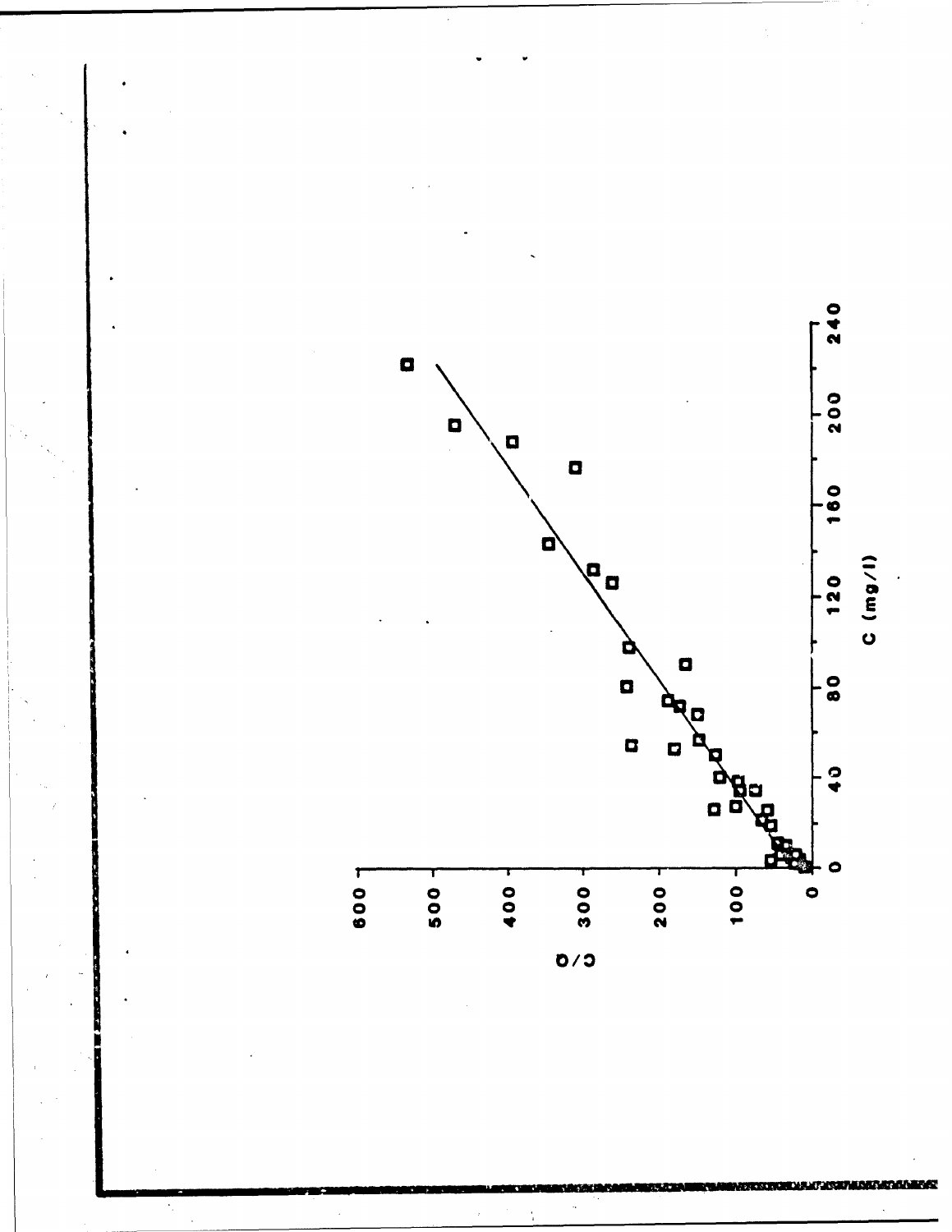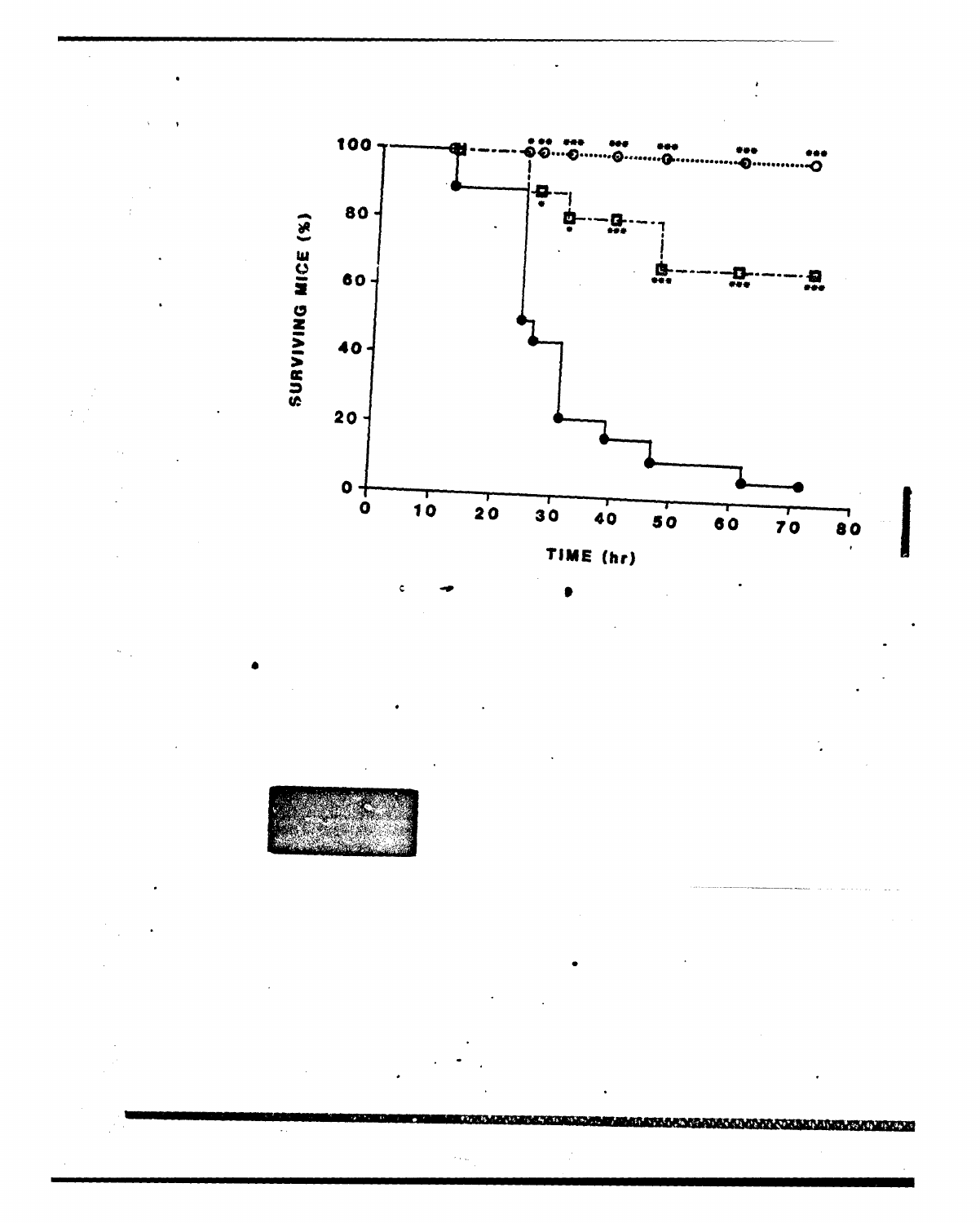

**BARA KATA MATA MATA TARA KATA SA PA**  $\ddotsc$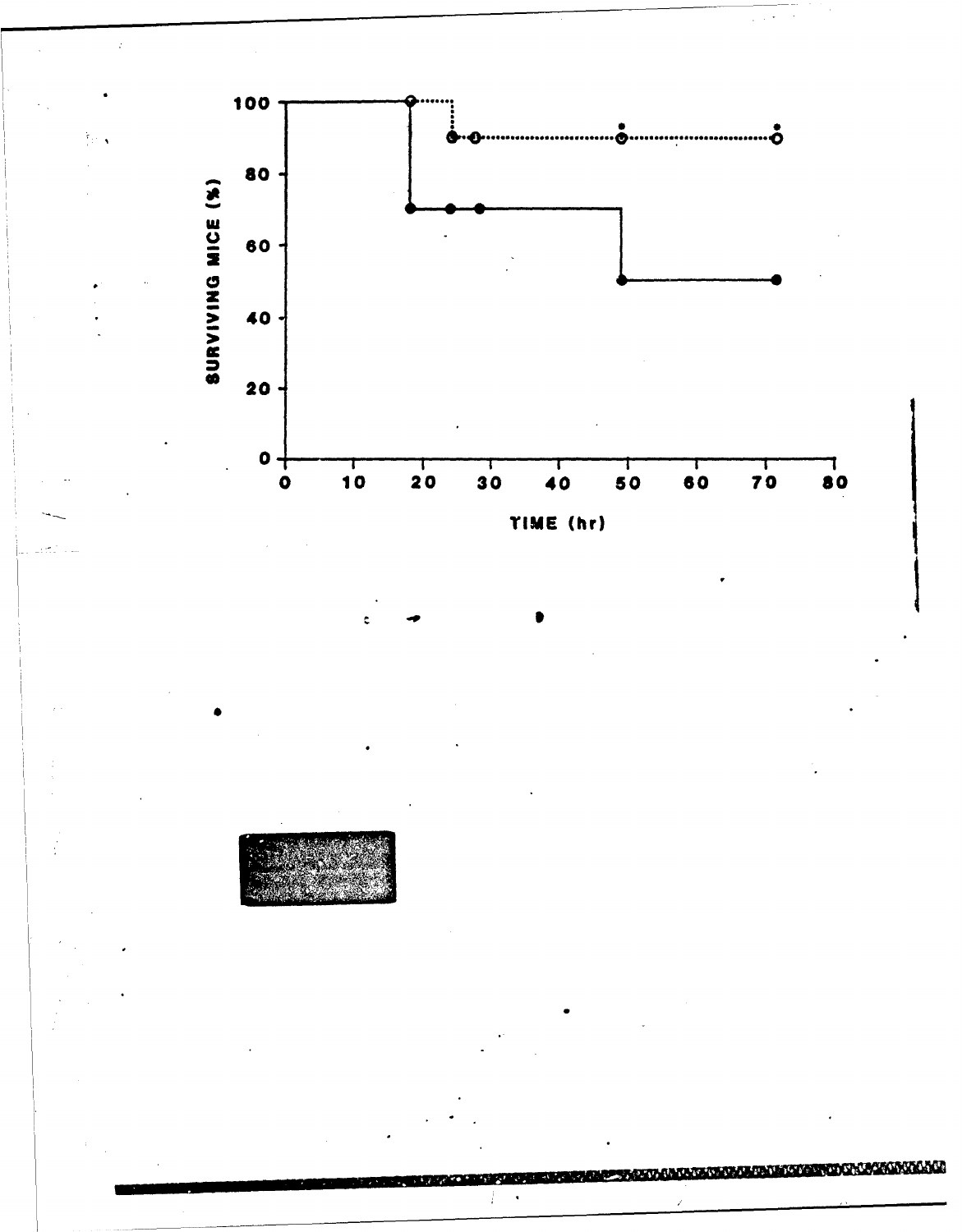

**NAMES OF STREET**